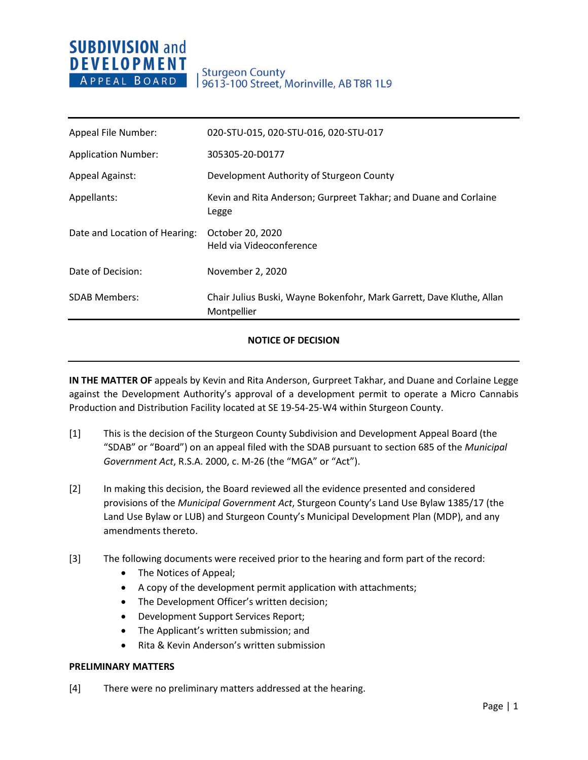# **SUBDIVISION and DEVELOPMENT** APPEAL BOARD

| Appeal File Number:           | 020-STU-015, 020-STU-016, 020-STU-017                                                |
|-------------------------------|--------------------------------------------------------------------------------------|
| <b>Application Number:</b>    | 305305-20-D0177                                                                      |
| <b>Appeal Against:</b>        | Development Authority of Sturgeon County                                             |
| Appellants:                   | Kevin and Rita Anderson; Gurpreet Takhar; and Duane and Corlaine<br>Legge            |
| Date and Location of Hearing: | October 20, 2020<br>Held via Videoconference                                         |
| Date of Decision:             | November 2, 2020                                                                     |
| <b>SDAB Members:</b>          | Chair Julius Buski, Wayne Bokenfohr, Mark Garrett, Dave Kluthe, Allan<br>Montpellier |

## **NOTICE OF DECISION**

**IN THE MATTER OF** appeals by Kevin and Rita Anderson, Gurpreet Takhar, and Duane and Corlaine Legge against the Development Authority's approval of a development permit to operate a Micro Cannabis Production and Distribution Facility located at SE 19-54-25-W4 within Sturgeon County.

- [1] This is the decision of the Sturgeon County Subdivision and Development Appeal Board (the "SDAB" or "Board") on an appeal filed with the SDAB pursuant to section 685 of the *Municipal Government Act*, R.S.A. 2000, c. M-26 (the "MGA" or "Act").
- [2] In making this decision, the Board reviewed all the evidence presented and considered provisions of the *Municipal Government Act*, Sturgeon County's Land Use Bylaw 1385/17 (the Land Use Bylaw or LUB) and Sturgeon County's Municipal Development Plan (MDP), and any amendments thereto.
- [3] The following documents were received prior to the hearing and form part of the record:
	- The Notices of Appeal;
	- A copy of the development permit application with attachments;
	- The Development Officer's written decision;
	- Development Support Services Report;
	- The Applicant's written submission; and
	- Rita & Kevin Anderson's written submission

### **PRELIMINARY MATTERS**

[4] There were no preliminary matters addressed at the hearing.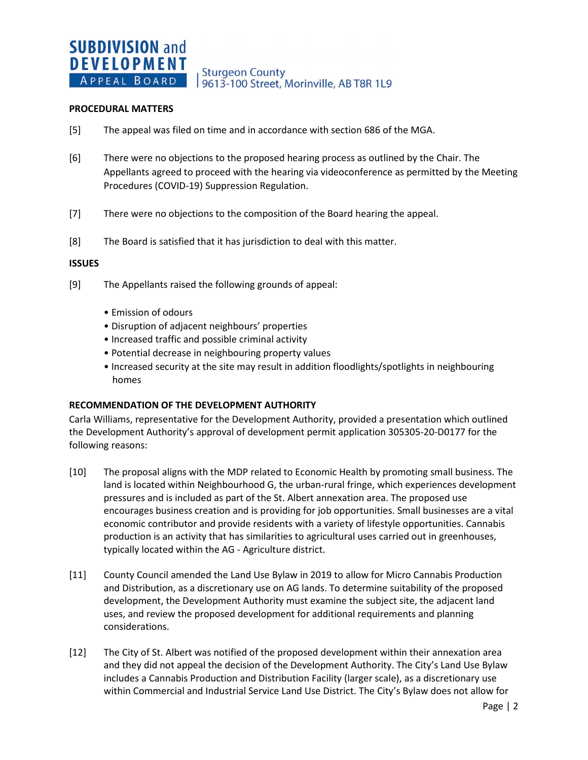**Sturgeon County** 9613-100 Street, Morinville, AB T8R 1L9

#### **PROCEDURAL MATTERS**

- [5] The appeal was filed on time and in accordance with section 686 of the MGA.
- [6] There were no objections to the proposed hearing process as outlined by the Chair. The Appellants agreed to proceed with the hearing via videoconference as permitted by the Meeting Procedures (COVID-19) Suppression Regulation.
- [7] There were no objections to the composition of the Board hearing the appeal.
- [8] The Board is satisfied that it has jurisdiction to deal with this matter.

#### **ISSUES**

- [9] The Appellants raised the following grounds of appeal:
	- Emission of odours
	- Disruption of adjacent neighbours' properties
	- Increased traffic and possible criminal activity
	- Potential decrease in neighbouring property values
	- Increased security at the site may result in addition floodlights/spotlights in neighbouring homes

### **RECOMMENDATION OF THE DEVELOPMENT AUTHORITY**

Carla Williams, representative for the Development Authority, provided a presentation which outlined the Development Authority's approval of development permit application 305305-20-D0177 for the following reasons:

- [10] The proposal aligns with the MDP related to Economic Health by promoting small business. The land is located within Neighbourhood G, the urban-rural fringe, which experiences development pressures and is included as part of the St. Albert annexation area. The proposed use encourages business creation and is providing for job opportunities. Small businesses are a vital economic contributor and provide residents with a variety of lifestyle opportunities. Cannabis production is an activity that has similarities to agricultural uses carried out in greenhouses, typically located within the AG - Agriculture district.
- [11] County Council amended the Land Use Bylaw in 2019 to allow for Micro Cannabis Production and Distribution, as a discretionary use on AG lands. To determine suitability of the proposed development, the Development Authority must examine the subject site, the adjacent land uses, and review the proposed development for additional requirements and planning considerations.
- [12] The City of St. Albert was notified of the proposed development within their annexation area and they did not appeal the decision of the Development Authority. The City's Land Use Bylaw includes a Cannabis Production and Distribution Facility (larger scale), as a discretionary use within Commercial and Industrial Service Land Use District. The City's Bylaw does not allow for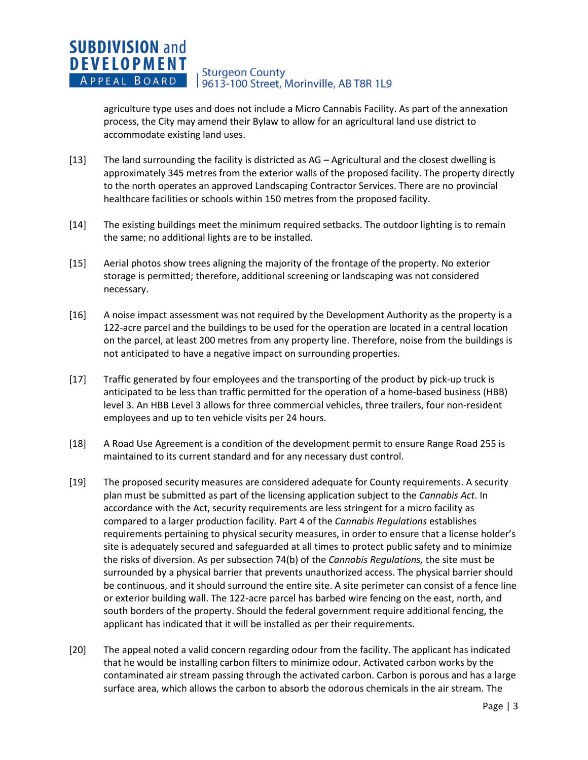agriculture type uses and does not include a Micro Cannabis Facility. As part of the annexation process, the City may amend their Bylaw to allow for an agricultural land use district to accommodate existing land uses.

- [13] The land surrounding the facility is districted as AG Agricultural and the closest dwelling is approximately 345 metres from the exterior walls of the proposed facility. The property directly to the north operates an approved Landscaping Contractor Services. There are no provincial healthcare facilities or schools within 150 metres from the proposed facility.
- [14] The existing buildings meet the minimum required setbacks. The outdoor lighting is to remain the same; no additional lights are to be installed.
- [15] Aerial photos show trees aligning the majority of the frontage of the property. No exterior storage is permitted; therefore, additional screening or landscaping was not considered necessary.
- [16] A noise impact assessment was not required by the Development Authority as the property is a 122-acre parcel and the buildings to be used for the operation are located in a central location on the parcel, at least 200 metres from any property line. Therefore, noise from the buildings is not anticipated to have a negative impact on surrounding properties.
- [17] Traffic generated by four employees and the transporting of the product by pick-up truck is anticipated to be less than traffic permitted for the operation of a home-based business (HBB) level 3. An HBB Level 3 allows for three commercial vehicles, three trailers, four non-resident employees and up to ten vehicle visits per 24 hours.
- [18] A Road Use Agreement is a condition of the development permit to ensure Range Road 255 is maintained to its current standard and for any necessary dust control.
- [19] The proposed security measures are considered adequate for County requirements. A security plan must be submitted as part of the licensing application subject to the *Cannabis Act*. In accordance with the Act, security requirements are less stringent for a micro facility as compared to a larger production facility. Part 4 of the *Cannabis Regulations* establishes requirements pertaining to physical security measures, in order to ensure that a license holder's site is adequately secured and safeguarded at all times to protect public safety and to minimize the risks of diversion. As per subsection 74(b) of the *Cannabis Regulations,* the site must be surrounded by a physical barrier that prevents unauthorized access. The physical barrier should be continuous, and it should surround the entire site. A site perimeter can consist of a fence line or exterior building wall. The 122-acre parcel has barbed wire fencing on the east, north, and south borders of the property. Should the federal government require additional fencing, the applicant has indicated that it will be installed as per their requirements.
- [20] The appeal noted a valid concern regarding odour from the facility. The applicant has indicated that he would be installing carbon filters to minimize odour. Activated carbon works by the contaminated air stream passing through the activated carbon. Carbon is porous and has a large surface area, which allows the carbon to absorb the odorous chemicals in the air stream. The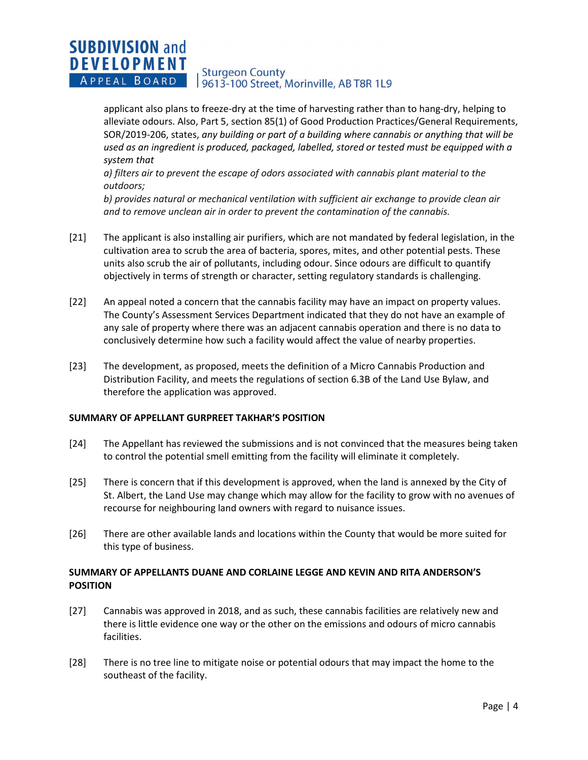applicant also plans to freeze-dry at the time of harvesting rather than to hang-dry, helping to alleviate odours. Also, Part 5, section 85(1) of Good Production Practices/General Requirements, SOR/2019-206, states, *any building or part of a building where cannabis or anything that will be used as an ingredient is produced, packaged, labelled, stored or tested must be equipped with a system that* 

*a) filters air to prevent the escape of odors associated with cannabis plant material to the outdoors;* 

*b) provides natural or mechanical ventilation with sufficient air exchange to provide clean air and to remove unclean air in order to prevent the contamination of the cannabis.* 

- [21] The applicant is also installing air purifiers, which are not mandated by federal legislation, in the cultivation area to scrub the area of bacteria, spores, mites, and other potential pests. These units also scrub the air of pollutants, including odour. Since odours are difficult to quantify objectively in terms of strength or character, setting regulatory standards is challenging.
- [22] An appeal noted a concern that the cannabis facility may have an impact on property values. The County's Assessment Services Department indicated that they do not have an example of any sale of property where there was an adjacent cannabis operation and there is no data to conclusively determine how such a facility would affect the value of nearby properties.
- [23] The development, as proposed, meets the definition of a Micro Cannabis Production and Distribution Facility, and meets the regulations of section 6.3B of the Land Use Bylaw, and therefore the application was approved.

## **SUMMARY OF APPELLANT GURPREET TAKHAR'S POSITION**

- [24] The Appellant has reviewed the submissions and is not convinced that the measures being taken to control the potential smell emitting from the facility will eliminate it completely.
- [25] There is concern that if this development is approved, when the land is annexed by the City of St. Albert, the Land Use may change which may allow for the facility to grow with no avenues of recourse for neighbouring land owners with regard to nuisance issues.
- [26] There are other available lands and locations within the County that would be more suited for this type of business.

## **SUMMARY OF APPELLANTS DUANE AND CORLAINE LEGGE AND KEVIN AND RITA ANDERSON'S POSITION**

- [27] Cannabis was approved in 2018, and as such, these cannabis facilities are relatively new and there is little evidence one way or the other on the emissions and odours of micro cannabis facilities.
- [28] There is no tree line to mitigate noise or potential odours that may impact the home to the southeast of the facility.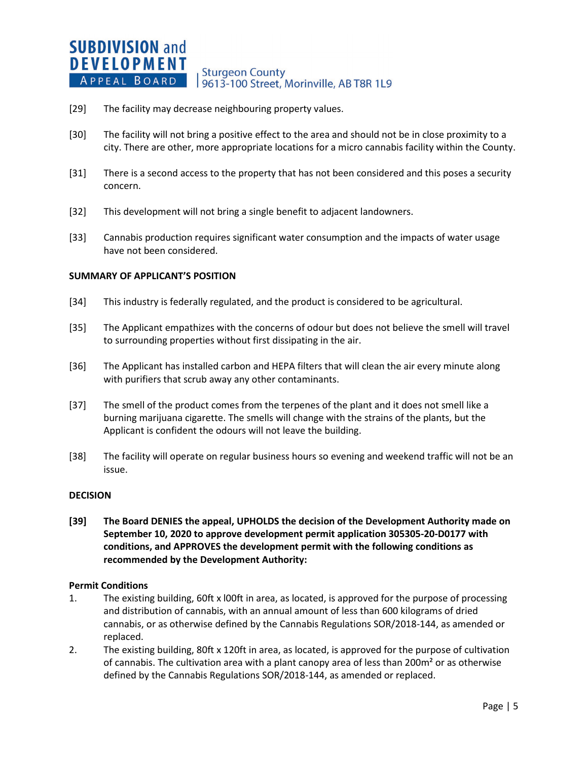- [29] The facility may decrease neighbouring property values.
- [30] The facility will not bring a positive effect to the area and should not be in close proximity to a city. There are other, more appropriate locations for a micro cannabis facility within the County.
- [31] There is a second access to the property that has not been considered and this poses a security concern.
- [32] This development will not bring a single benefit to adjacent landowners.
- [33] Cannabis production requires significant water consumption and the impacts of water usage have not been considered.

### **SUMMARY OF APPLICANT'S POSITION**

- [34] This industry is federally regulated, and the product is considered to be agricultural.
- [35] The Applicant empathizes with the concerns of odour but does not believe the smell will travel to surrounding properties without first dissipating in the air.
- [36] The Applicant has installed carbon and HEPA filters that will clean the air every minute along with purifiers that scrub away any other contaminants.
- [37] The smell of the product comes from the terpenes of the plant and it does not smell like a burning marijuana cigarette. The smells will change with the strains of the plants, but the Applicant is confident the odours will not leave the building.
- [38] The facility will operate on regular business hours so evening and weekend traffic will not be an issue.

### **DECISION**

**[39] The Board DENIES the appeal, UPHOLDS the decision of the Development Authority made on September 10, 2020 to approve development permit application 305305-20-D0177 with conditions, and APPROVES the development permit with the following conditions as recommended by the Development Authority:**

### **Permit Conditions**

- 1. The existing building, 60ft x l00ft in area, as located, is approved for the purpose of processing and distribution of cannabis, with an annual amount of less than 600 kilograms of dried cannabis, or as otherwise defined by the Cannabis Regulations SOR/2018-144, as amended or replaced.
- 2. The existing building, 80ft x 120ft in area, as located, is approved for the purpose of cultivation of cannabis. The cultivation area with a plant canopy area of less than 200m<sup>2</sup> or as otherwise defined by the Cannabis Regulations SOR/2018-144, as amended or replaced.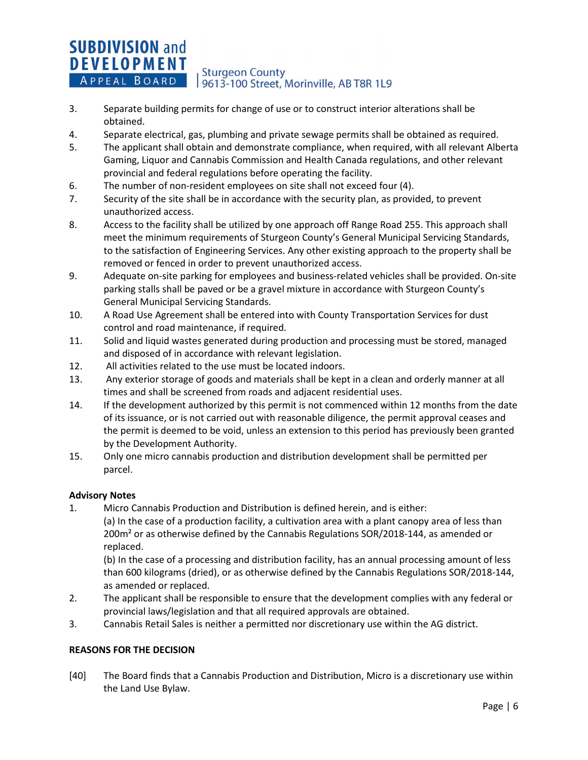- 3. Separate building permits for change of use or to construct interior alterations shall be obtained.
- 4. Separate electrical, gas, plumbing and private sewage permits shall be obtained as required.
- 5. The applicant shall obtain and demonstrate compliance, when required, with all relevant Alberta Gaming, Liquor and Cannabis Commission and Health Canada regulations, and other relevant provincial and federal regulations before operating the facility.
- 6. The number of non-resident employees on site shall not exceed four (4).
- 7. Security of the site shall be in accordance with the security plan, as provided, to prevent unauthorized access.
- 8. Access to the facility shall be utilized by one approach off Range Road 255. This approach shall meet the minimum requirements of Sturgeon County's General Municipal Servicing Standards, to the satisfaction of Engineering Services. Any other existing approach to the property shall be removed or fenced in order to prevent unauthorized access.
- 9. Adequate on-site parking for employees and business-related vehicles shall be provided. On-site parking stalls shall be paved or be a gravel mixture in accordance with Sturgeon County's General Municipal Servicing Standards.
- 10. A Road Use Agreement shall be entered into with County Transportation Services for dust control and road maintenance, if required.
- 11. Solid and liquid wastes generated during production and processing must be stored, managed and disposed of in accordance with relevant legislation.
- 12. All activities related to the use must be located indoors.
- 13. Any exterior storage of goods and materials shall be kept in a clean and orderly manner at all times and shall be screened from roads and adjacent residential uses.
- 14. If the development authorized by this permit is not commenced within 12 months from the date of its issuance, or is not carried out with reasonable diligence, the permit approval ceases and the permit is deemed to be void, unless an extension to this period has previously been granted by the Development Authority.
- 15. Only one micro cannabis production and distribution development shall be permitted per parcel.

## **Advisory Notes**

1. Micro Cannabis Production and Distribution is defined herein, and is either: (a) In the case of a production facility, a cultivation area with a plant canopy area of less than 200m<sup>2</sup> or as otherwise defined by the Cannabis Regulations SOR/2018-144, as amended or replaced.

(b) In the case of a processing and distribution facility, has an annual processing amount of less than 600 kilograms (dried), or as otherwise defined by the Cannabis Regulations SOR/2018-144, as amended or replaced.

- 2. The applicant shall be responsible to ensure that the development complies with any federal or provincial laws/legislation and that all required approvals are obtained.
- 3. Cannabis Retail Sales is neither a permitted nor discretionary use within the AG district.

## **REASONS FOR THE DECISION**

[40] The Board finds that a Cannabis Production and Distribution, Micro is a discretionary use within the Land Use Bylaw.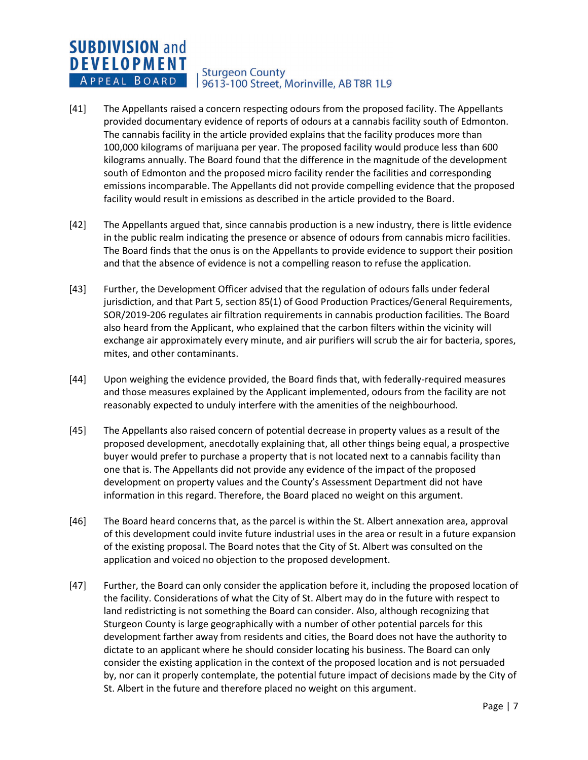- [41] The Appellants raised a concern respecting odours from the proposed facility. The Appellants provided documentary evidence of reports of odours at a cannabis facility south of Edmonton. The cannabis facility in the article provided explains that the facility produces more than 100,000 kilograms of marijuana per year. The proposed facility would produce less than 600 kilograms annually. The Board found that the difference in the magnitude of the development south of Edmonton and the proposed micro facility render the facilities and corresponding emissions incomparable. The Appellants did not provide compelling evidence that the proposed facility would result in emissions as described in the article provided to the Board.
- [42] The Appellants argued that, since cannabis production is a new industry, there is little evidence in the public realm indicating the presence or absence of odours from cannabis micro facilities. The Board finds that the onus is on the Appellants to provide evidence to support their position and that the absence of evidence is not a compelling reason to refuse the application.
- [43] Further, the Development Officer advised that the regulation of odours falls under federal jurisdiction, and that Part 5, section 85(1) of Good Production Practices/General Requirements, SOR/2019-206 regulates air filtration requirements in cannabis production facilities. The Board also heard from the Applicant, who explained that the carbon filters within the vicinity will exchange air approximately every minute, and air purifiers will scrub the air for bacteria, spores, mites, and other contaminants.
- [44] Upon weighing the evidence provided, the Board finds that, with federally-required measures and those measures explained by the Applicant implemented, odours from the facility are not reasonably expected to unduly interfere with the amenities of the neighbourhood.
- [45] The Appellants also raised concern of potential decrease in property values as a result of the proposed development, anecdotally explaining that, all other things being equal, a prospective buyer would prefer to purchase a property that is not located next to a cannabis facility than one that is. The Appellants did not provide any evidence of the impact of the proposed development on property values and the County's Assessment Department did not have information in this regard. Therefore, the Board placed no weight on this argument.
- [46] The Board heard concerns that, as the parcel is within the St. Albert annexation area, approval of this development could invite future industrial uses in the area or result in a future expansion of the existing proposal. The Board notes that the City of St. Albert was consulted on the application and voiced no objection to the proposed development.
- [47] Further, the Board can only consider the application before it, including the proposed location of the facility. Considerations of what the City of St. Albert may do in the future with respect to land redistricting is not something the Board can consider. Also, although recognizing that Sturgeon County is large geographically with a number of other potential parcels for this development farther away from residents and cities, the Board does not have the authority to dictate to an applicant where he should consider locating his business. The Board can only consider the existing application in the context of the proposed location and is not persuaded by, nor can it properly contemplate, the potential future impact of decisions made by the City of St. Albert in the future and therefore placed no weight on this argument.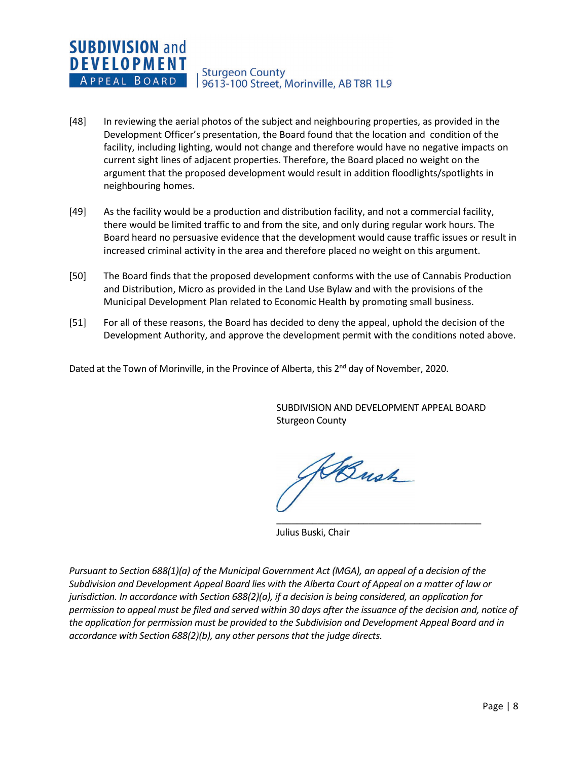- [48] In reviewing the aerial photos of the subject and neighbouring properties, as provided in the Development Officer's presentation, the Board found that the location and condition of the facility, including lighting, would not change and therefore would have no negative impacts on current sight lines of adjacent properties. Therefore, the Board placed no weight on the argument that the proposed development would result in addition floodlights/spotlights in neighbouring homes.
- [49] As the facility would be a production and distribution facility, and not a commercial facility, there would be limited traffic to and from the site, and only during regular work hours. The Board heard no persuasive evidence that the development would cause traffic issues or result in increased criminal activity in the area and therefore placed no weight on this argument.
- [50] The Board finds that the proposed development conforms with the use of Cannabis Production and Distribution, Micro as provided in the Land Use Bylaw and with the provisions of the Municipal Development Plan related to Economic Health by promoting small business.
- [51] For all of these reasons, the Board has decided to deny the appeal, uphold the decision of the Development Authority, and approve the development permit with the conditions noted above.

Dated at the Town of Morinville, in the Province of Alberta, this 2<sup>nd</sup> day of November, 2020.

SUBDIVISION AND DEVELOPMENT APPEAL BOARD Sturgeon County

\_\_\_\_\_\_\_\_\_\_\_\_\_\_\_\_\_\_\_\_\_\_\_\_\_\_\_\_\_\_\_\_\_\_\_\_\_\_\_\_

Bush

Julius Buski, Chair

*Pursuant to Section 688(1)(a) of the Municipal Government Act (MGA), an appeal of a decision of the Subdivision and Development Appeal Board lies with the Alberta Court of Appeal on a matter of law or jurisdiction. In accordance with Section 688(2)(a), if a decision is being considered, an application for permission to appeal must be filed and served within 30 days after the issuance of the decision and, notice of the application for permission must be provided to the Subdivision and Development Appeal Board and in accordance with Section 688(2)(b), any other persons that the judge directs.*